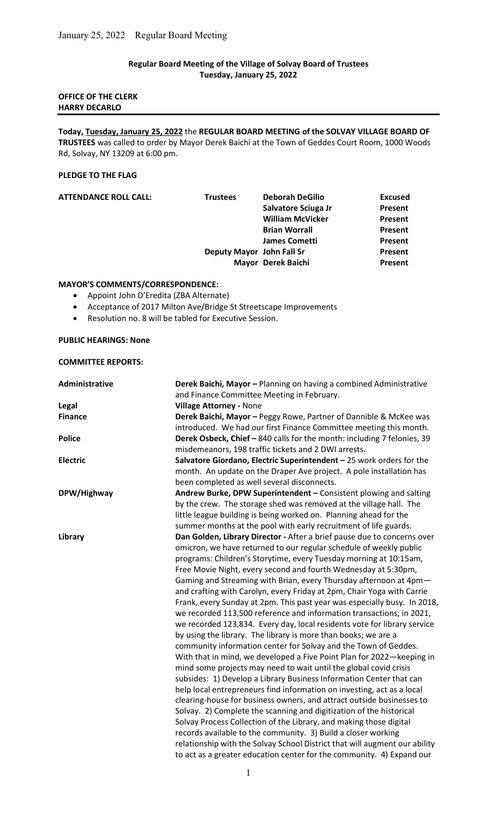## Regular Board Meeting of the Village of Solvay Board of Trustees Tuesday, January 25, 2022

# OFFICE OF THE CLERK HARRY DECARLO

Today, Tuesday, January 25, 2022 the REGULAR BOARD MEETING of the SOLVAY VILLAGE BOARD OF TRUSTEES was called to order by Mayor Derek Baichi at the Town of Geddes Court Room, 1000 Woods Rd, Solvay, NY 13209 at 6:00 pm.

#### PLEDGE TO THE FLAG

| <b>ATTENDANCE ROLL CALL:</b> | <b>Trustees</b>           | <b>Deborah DeGilio</b>  | <b>Excused</b> |
|------------------------------|---------------------------|-------------------------|----------------|
|                              |                           | Salvatore Sciuga Jr     | Present        |
|                              |                           | <b>William McVicker</b> | Present        |
|                              |                           | <b>Brian Worrall</b>    | Present        |
|                              |                           | <b>James Cometti</b>    | Present        |
|                              | Deputy Mayor John Fall Sr |                         | Present        |
|                              |                           | Mayor Derek Baichi      | Present        |

### MAYOR'S COMMENTS/CORRESPONDENCE:

- Appoint John D'Eredita (ZBA Alternate)
- Acceptance of 2017 Milton Ave/Bridge St Streetscape Improvements
- Resolution no. 8 will be tabled for Executive Session.

## PUBLIC HEARINGS: None

### COMMITTEE REPORTS:

| <b>Administrative</b> | Derek Baichi, Mayor - Planning on having a combined Administrative         |  |
|-----------------------|----------------------------------------------------------------------------|--|
|                       | and Finance Committee Meeting in February.                                 |  |
| Legal                 | <b>Village Attorney - None</b>                                             |  |
| <b>Finance</b>        | Derek Baichi, Mayor - Peggy Rowe, Partner of Dannible & McKee was          |  |
|                       | introduced. We had our first Finance Committee meeting this month.         |  |
| <b>Police</b>         | Derek Osbeck, Chief - 840 calls for the month: including 7 felonies, 39    |  |
|                       | misdemeanors, 198 traffic tickets and 2 DWI arrests.                       |  |
| <b>Electric</b>       | Salvatore Giordano, Electric Superintendent - 25 work orders for the       |  |
|                       | month. An update on the Draper Ave project. A pole installation has        |  |
|                       | been completed as well several disconnects.                                |  |
| DPW/Highway           | Andrew Burke, DPW Superintendent - Consistent plowing and salting          |  |
|                       | by the crew. The storage shed was removed at the village hall. The         |  |
|                       | little league building is being worked on. Planning ahead for the          |  |
|                       | summer months at the pool with early recruitment of life guards.           |  |
| Library               | Dan Golden, Library Director - After a brief pause due to concerns over    |  |
|                       | omicron, we have returned to our regular schedule of weekly public         |  |
|                       | programs: Children's Storytime, every Tuesday morning at 10:15am,          |  |
|                       | Free Movie Night, every second and fourth Wednesday at 5:30pm,             |  |
|                       | Gaming and Streaming with Brian, every Thursday afternoon at 4pm-          |  |
|                       | and crafting with Carolyn, every Friday at 2pm, Chair Yoga with Carrie     |  |
|                       | Frank, every Sunday at 2pm. This past year was especially busy. In 2018,   |  |
|                       | we recorded 113,500 reference and information transactions; in 2021,       |  |
|                       | we recorded 123,834. Every day, local residents vote for library service   |  |
|                       | by using the library. The library is more than books; we are a             |  |
|                       | community information center for Solvay and the Town of Geddes.            |  |
|                       | With that in mind, we developed a Five Point Plan for 2022-keeping in      |  |
|                       | mind some projects may need to wait until the global covid crisis          |  |
|                       | subsides: 1) Develop a Library Business Information Center that can        |  |
|                       | help local entrepreneurs find information on investing, act as a local     |  |
|                       | clearing-house for business owners, and attract outside businesses to      |  |
|                       | Solvay. 2) Complete the scanning and digitization of the historical        |  |
|                       | Solvay Process Collection of the Library, and making those digital         |  |
|                       | records available to the community. 3) Build a closer working              |  |
|                       |                                                                            |  |
|                       | relationship with the Solvay School District that will augment our ability |  |
|                       | to act as a greater education center for the community. 4) Expand our      |  |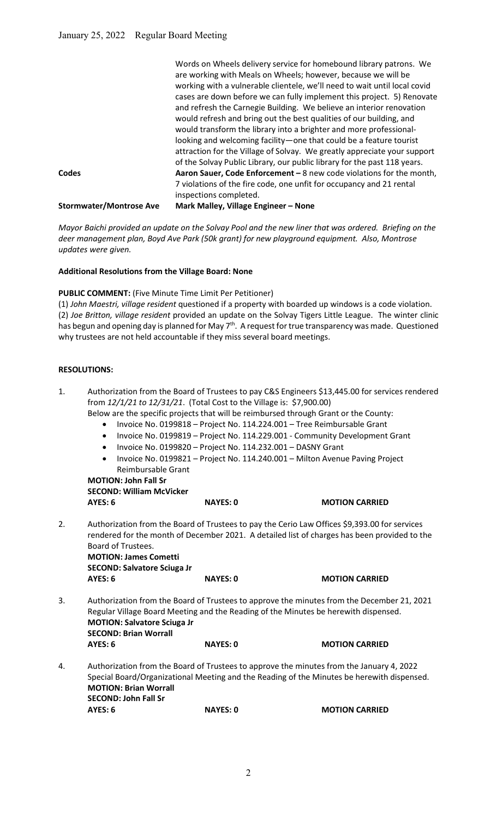|                                | Words on Wheels delivery service for homebound library patrons. We        |
|--------------------------------|---------------------------------------------------------------------------|
|                                | are working with Meals on Wheels; however, because we will be             |
|                                | working with a vulnerable clientele, we'll need to wait until local covid |
|                                | cases are down before we can fully implement this project. 5) Renovate    |
|                                | and refresh the Carnegie Building. We believe an interior renovation      |
|                                | would refresh and bring out the best qualities of our building, and       |
|                                | would transform the library into a brighter and more professional-        |
|                                | looking and welcoming facility-one that could be a feature tourist        |
|                                | attraction for the Village of Solvay. We greatly appreciate your support  |
|                                | of the Solvay Public Library, our public library for the past 118 years.  |
| Codes                          | Aaron Sauer, Code Enforcement - 8 new code violations for the month,      |
|                                | 7 violations of the fire code, one unfit for occupancy and 21 rental      |
|                                | inspections completed.                                                    |
| <b>Stormwater/Montrose Ave</b> | Mark Malley, Village Engineer - None                                      |

Mayor Baichi provided an update on the Solvay Pool and the new liner that was ordered. Briefing on the deer management plan, Boyd Ave Park (50k grant) for new playground equipment. Also, Montrose updates were given.

### Additional Resolutions from the Village Board: None

PUBLIC COMMENT: (Five Minute Time Limit Per Petitioner)

(1) John Maestri, village resident questioned if a property with boarded up windows is a code violation. (2) Joe Britton, village resident provided an update on the Solvay Tigers Little League. The winter clinic has begun and opening day is planned for May 7<sup>th</sup>. A request for true transparency was made. Questioned why trustees are not held accountable if they miss several board meetings.

#### RESOLUTIONS:

| 1. | $\bullet$<br>$\bullet$<br>$\bullet$<br>$\bullet$<br>Reimbursable Grant<br><b>MOTION: John Fall Sr</b><br><b>SECOND: William McVicker</b>                                                                                                              | from 12/1/21 to 12/31/21. (Total Cost to the Village is: \$7,900.00)<br>Invoice No. 0199820 - Project No. 114.232.001 - DASNY Grant | Authorization from the Board of Trustees to pay C&S Engineers \$13,445.00 for services rendered<br>Below are the specific projects that will be reimbursed through Grant or the County:<br>Invoice No. 0199818 - Project No. 114.224.001 - Tree Reimbursable Grant<br>Invoice No. 0199819 - Project No. 114.229.001 - Community Development Grant<br>Invoice No. 0199821 - Project No. 114.240.001 - Milton Avenue Paving Project |  |
|----|-------------------------------------------------------------------------------------------------------------------------------------------------------------------------------------------------------------------------------------------------------|-------------------------------------------------------------------------------------------------------------------------------------|-----------------------------------------------------------------------------------------------------------------------------------------------------------------------------------------------------------------------------------------------------------------------------------------------------------------------------------------------------------------------------------------------------------------------------------|--|
|    | AYES: 6                                                                                                                                                                                                                                               | <b>NAYES: 0</b>                                                                                                                     | <b>MOTION CARRIED</b>                                                                                                                                                                                                                                                                                                                                                                                                             |  |
| 2. | Board of Trustees.<br><b>MOTION: James Cometti</b><br><b>SECOND: Salvatore Sciuga Jr</b>                                                                                                                                                              | <b>NAYES: 0</b>                                                                                                                     | Authorization from the Board of Trustees to pay the Cerio Law Offices \$9,393.00 for services<br>rendered for the month of December 2021. A detailed list of charges has been provided to the                                                                                                                                                                                                                                     |  |
|    | AYES: 6                                                                                                                                                                                                                                               |                                                                                                                                     | <b>MOTION CARRIED</b>                                                                                                                                                                                                                                                                                                                                                                                                             |  |
| 3. | <b>MOTION: Salvatore Sciuga Jr</b><br><b>SECOND: Brian Worrall</b>                                                                                                                                                                                    |                                                                                                                                     | Authorization from the Board of Trustees to approve the minutes from the December 21, 2021<br>Regular Village Board Meeting and the Reading of the Minutes be herewith dispensed.                                                                                                                                                                                                                                                 |  |
|    | AYES: 6                                                                                                                                                                                                                                               | <b>NAYES: 0</b>                                                                                                                     | <b>MOTION CARRIED</b>                                                                                                                                                                                                                                                                                                                                                                                                             |  |
| 4. | Authorization from the Board of Trustees to approve the minutes from the January 4, 2022<br>Special Board/Organizational Meeting and the Reading of the Minutes be herewith dispensed.<br><b>MOTION: Brian Worrall</b><br><b>SECOND: John Fall Sr</b> |                                                                                                                                     |                                                                                                                                                                                                                                                                                                                                                                                                                                   |  |
|    | AYES: 6                                                                                                                                                                                                                                               | <b>NAYES: 0</b>                                                                                                                     | <b>MOTION CARRIED</b>                                                                                                                                                                                                                                                                                                                                                                                                             |  |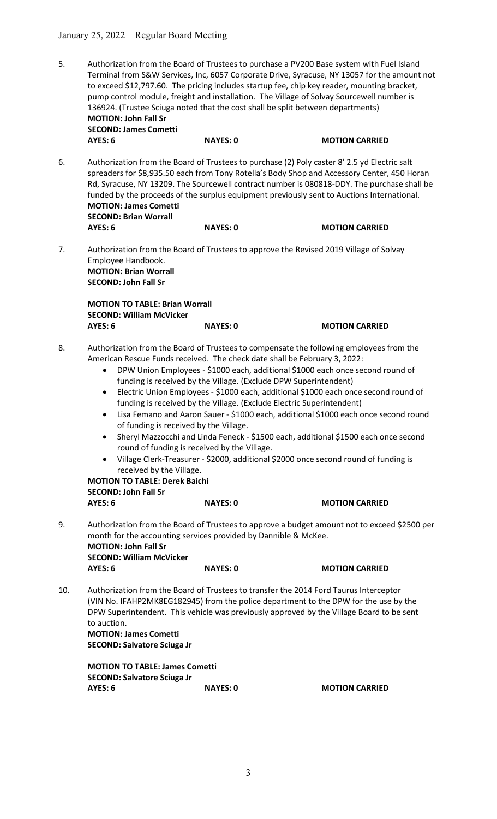5. Authorization from the Board of Trustees to purchase a PV200 Base system with Fuel Island Terminal from S&W Services, Inc, 6057 Corporate Drive, Syracuse, NY 13057 for the amount not to exceed \$12,797.60. The pricing includes startup fee, chip key reader, mounting bracket, pump control module, freight and installation. The Village of Solvay Sourcewell number is 136924. (Trustee Sciuga noted that the cost shall be split between departments) MOTION: John Fall Sr SECOND: James Cometti

|    | AYES: 6                      | <b>NAYES: 0</b> | <b>MOTION CARRIED</b>                                                                                                                                                                                                                                                                                                                                                                    |
|----|------------------------------|-----------------|------------------------------------------------------------------------------------------------------------------------------------------------------------------------------------------------------------------------------------------------------------------------------------------------------------------------------------------------------------------------------------------|
| 6. | <b>MOTION: James Cometti</b> |                 | Authorization from the Board of Trustees to purchase (2) Poly caster 8' 2.5 yd Electric salt<br>spreaders for \$8,935.50 each from Tony Rotella's Body Shop and Accessory Center, 450 Horan<br>Rd, Syracuse, NY 13209. The Sourcewell contract number is 080818-DDY. The purchase shall be<br>funded by the proceeds of the surplus equipment previously sent to Auctions International. |
|    | <b>SECOND: Brian Worrall</b> |                 |                                                                                                                                                                                                                                                                                                                                                                                          |

AYES: 6 NAYES: 0 MOTION CARRIED

7. Authorization from the Board of Trustees to approve the Revised 2019 Village of Solvay Employee Handbook. MOTION: Brian Worrall SECOND: John Fall Sr

 MOTION TO TABLE: Brian Worrall SECOND: William McVicker AYES: 6 NAYES: 0 MOTION CARRIED

- 8. Authorization from the Board of Trustees to compensate the following employees from the American Rescue Funds received. The check date shall be February 3, 2022:
	- DPW Union Employees \$1000 each, additional \$1000 each once second round of funding is received by the Village. (Exclude DPW Superintendent)
	- Electric Union Employees \$1000 each, additional \$1000 each once second round of funding is received by the Village. (Exclude Electric Superintendent)
	- Lisa Femano and Aaron Sauer \$1000 each, additional \$1000 each once second round of funding is received by the Village.
	- Sheryl Mazzocchi and Linda Feneck \$1500 each, additional \$1500 each once second round of funding is received by the Village.
	- Village Clerk-Treasurer \$2000, additional \$2000 once second round of funding is received by the Village.

 MOTION TO TABLE: Derek Baichi SECOND: John Fall Sr

AYES: 6 NAYES: 0 MOTION CARRIED

- 9. Authorization from the Board of Trustees to approve a budget amount not to exceed \$2500 per month for the accounting services provided by Dannible & McKee. MOTION: John Fall Sr SECOND: William McVicker AYES: 6 NAYES: 0 MOTION CARRIED
- 10. Authorization from the Board of Trustees to transfer the 2014 Ford Taurus Interceptor (VIN No. IFAHP2MK8EG182945) from the police department to the DPW for the use by the DPW Superintendent. This vehicle was previously approved by the Village Board to be sent to auction.

MOTION: James Cometti SECOND: Salvatore Sciuga Jr

 MOTION TO TABLE: James Cometti SECOND: Salvatore Sciuga Jr AYES: 6 NAYES: 0 MOTION CARRIED